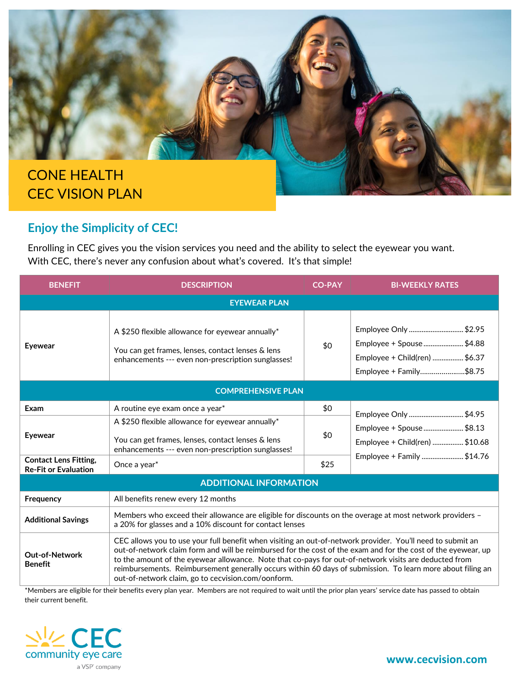

## **Enjoy the Simplicity of CEC!**

Enrolling in CEC gives you the vision services you need and the ability to select the eyewear you want. With CEC, there's never any confusion about what's covered. It's that simple!

| <b>BENEFIT</b>                                              | <b>DESCRIPTION</b>                                                                                                                                                                                                                                                                                                                                                                                                                                                                                       | <b>CO-PAY</b> | <b>BI-WEEKLY RATES</b>                                                                                     |  |  |
|-------------------------------------------------------------|----------------------------------------------------------------------------------------------------------------------------------------------------------------------------------------------------------------------------------------------------------------------------------------------------------------------------------------------------------------------------------------------------------------------------------------------------------------------------------------------------------|---------------|------------------------------------------------------------------------------------------------------------|--|--|
| <b>EYEWEAR PLAN</b>                                         |                                                                                                                                                                                                                                                                                                                                                                                                                                                                                                          |               |                                                                                                            |  |  |
| <b>Eyewear</b>                                              | A \$250 flexible allowance for eyewear annually*<br>You can get frames, lenses, contact lenses & lens<br>enhancements --- even non-prescription sunglasses!                                                                                                                                                                                                                                                                                                                                              | \$0           | Employee Only \$2.95<br>Employee + Spouse\$4.88<br>Employee + Child(ren) \$6.37<br>Employee + Family\$8.75 |  |  |
| <b>COMPREHENSIVE PLAN</b>                                   |                                                                                                                                                                                                                                                                                                                                                                                                                                                                                                          |               |                                                                                                            |  |  |
| Exam                                                        | A routine eye exam once a year*                                                                                                                                                                                                                                                                                                                                                                                                                                                                          | \$0           | Employee Only \$4.95                                                                                       |  |  |
| <b>Eyewear</b>                                              | A \$250 flexible allowance for eyewear annually*<br>You can get frames, lenses, contact lenses & lens<br>enhancements --- even non-prescription sunglasses!                                                                                                                                                                                                                                                                                                                                              | \$0           | Employee + Spouse\$8.13<br>Employee + Child(ren) \$10.68                                                   |  |  |
| <b>Contact Lens Fitting,</b><br><b>Re-Fit or Evaluation</b> | Once a year*                                                                                                                                                                                                                                                                                                                                                                                                                                                                                             | \$25          | Employee + Family \$14.76                                                                                  |  |  |
| <b>ADDITIONAL INFORMATION</b>                               |                                                                                                                                                                                                                                                                                                                                                                                                                                                                                                          |               |                                                                                                            |  |  |
| Frequency                                                   | All benefits renew every 12 months                                                                                                                                                                                                                                                                                                                                                                                                                                                                       |               |                                                                                                            |  |  |
| <b>Additional Savings</b>                                   | Members who exceed their allowance are eligible for discounts on the overage at most network providers -<br>a 20% for glasses and a 10% discount for contact lenses                                                                                                                                                                                                                                                                                                                                      |               |                                                                                                            |  |  |
| <b>Out-of-Network</b><br><b>Benefit</b>                     | CEC allows you to use your full benefit when visiting an out-of-network provider. You'll need to submit an<br>out-of-network claim form and will be reimbursed for the cost of the exam and for the cost of the eyewear, up<br>to the amount of the eyewear allowance. Note that co-pays for out-of-network visits are deducted from<br>reimbursements. Reimbursement generally occurs within 60 days of submission. To learn more about filing an<br>out-of-network claim, go to cecvision.com/oonform. |               |                                                                                                            |  |  |

\*Members are eligible for their benefits every plan year. Members are not required to wait until the prior plan years' service date has passed to obtain their current benefit.